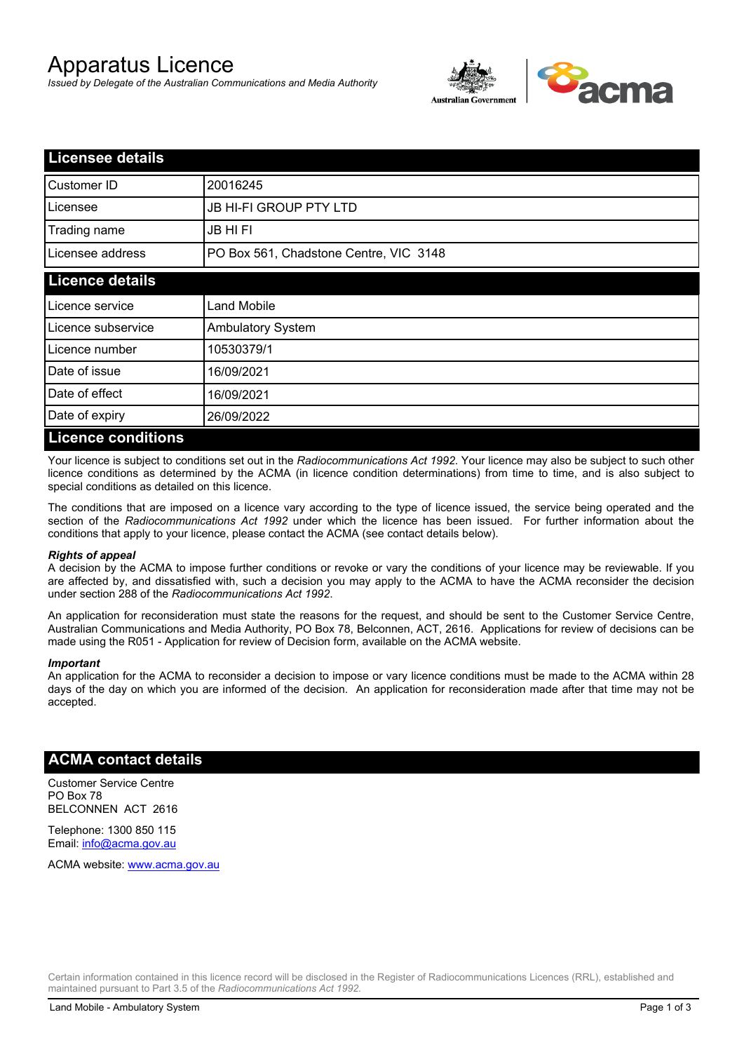# Apparatus Licence

*Issued by Delegate of the Australian Communications and Media Authority*



| <b>Licensee details</b>   |                                        |  |
|---------------------------|----------------------------------------|--|
| Customer ID               | 20016245                               |  |
| Licensee                  | <b>JB HI-FI GROUP PTY LTD</b>          |  |
| Trading name              | <b>JB HIFI</b>                         |  |
| Licensee address          | PO Box 561, Chadstone Centre, VIC 3148 |  |
| <b>Licence details</b>    |                                        |  |
| Licence service           | <b>Land Mobile</b>                     |  |
| Licence subservice        | <b>Ambulatory System</b>               |  |
| Licence number            | 10530379/1                             |  |
| Date of issue             | 16/09/2021                             |  |
| Date of effect            | 16/09/2021                             |  |
| Date of expiry            | 26/09/2022                             |  |
| <b>Licence conditions</b> |                                        |  |

Your licence is subject to conditions set out in the *Radiocommunications Act 1992*. Your licence may also be subject to such other licence conditions as determined by the ACMA (in licence condition determinations) from time to time, and is also subject to special conditions as detailed on this licence.

The conditions that are imposed on a licence vary according to the type of licence issued, the service being operated and the section of the *Radiocommunications Act 1992* under which the licence has been issued. For further information about the conditions that apply to your licence, please contact the ACMA (see contact details below).

#### *Rights of appeal*

A decision by the ACMA to impose further conditions or revoke or vary the conditions of your licence may be reviewable. If you are affected by, and dissatisfied with, such a decision you may apply to the ACMA to have the ACMA reconsider the decision under section 288 of the *Radiocommunications Act 1992*.

An application for reconsideration must state the reasons for the request, and should be sent to the Customer Service Centre, Australian Communications and Media Authority, PO Box 78, Belconnen, ACT, 2616. Applications for review of decisions can be made using the R051 - Application for review of Decision form, available on the ACMA website.

#### *Important*

An application for the ACMA to reconsider a decision to impose or vary licence conditions must be made to the ACMA within 28 days of the day on which you are informed of the decision. An application for reconsideration made after that time may not be accepted.

### **ACMA contact details**

Customer Service Centre PO Box 78 BELCONNEN ACT 2616

Telephone: 1300 850 115 Email: info@acma.gov.au

ACMA website: www.acma.gov.au

Certain information contained in this licence record will be disclosed in the Register of Radiocommunications Licences (RRL), established and maintained pursuant to Part 3.5 of the *Radiocommunications Act 1992.*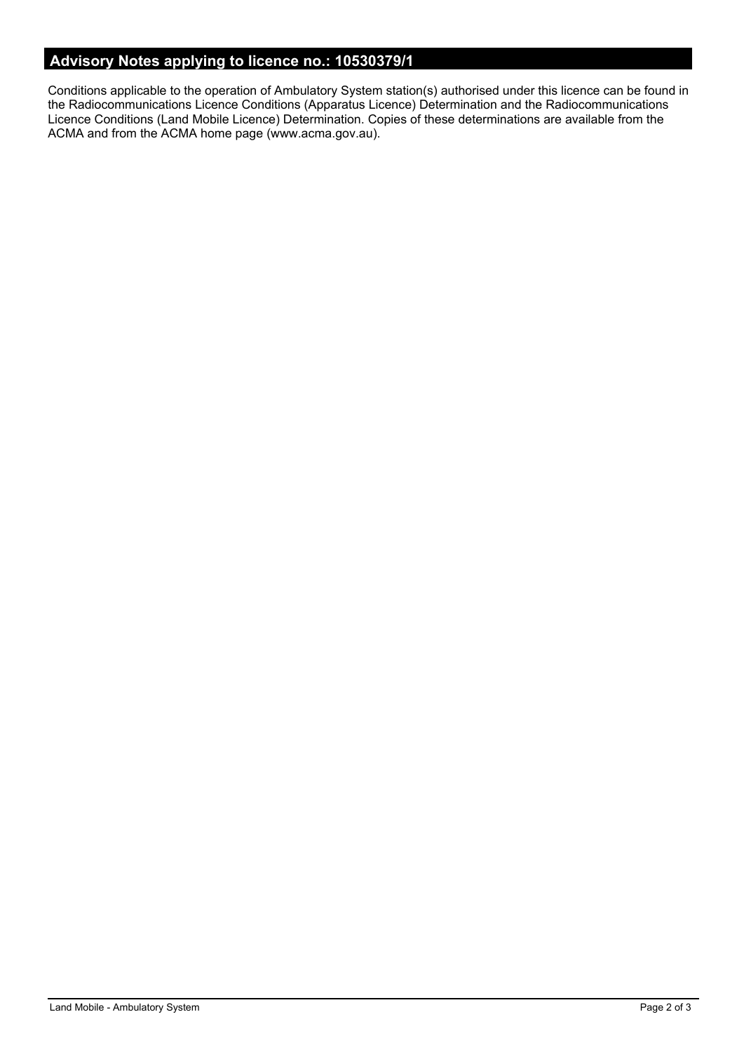# **Advisory Notes applying to licence no.: 10530379/1**

Conditions applicable to the operation of Ambulatory System station(s) authorised under this licence can be found in the Radiocommunications Licence Conditions (Apparatus Licence) Determination and the Radiocommunications Licence Conditions (Land Mobile Licence) Determination. Copies of these determinations are available from the ACMA and from the ACMA home page (www.acma.gov.au).